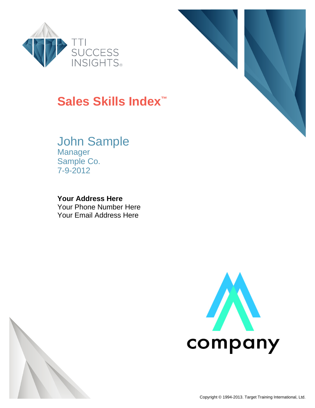

# **Sales Skills Index™**

## John Sample Manager

Sample Co. 7-9-2012

### **Your Address Here**

Your Phone Number Here Your Email Address Here





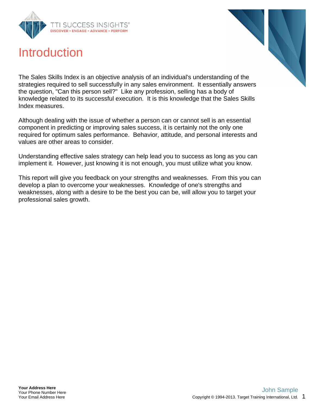

## **Introduction**



The Sales Skills Index is an objective analysis of an individual's understanding of the strategies required to sell successfully in any sales environment. It essentially answers the question, "Can this person sell?" Like any profession, selling has a body of knowledge related to its successful execution. It is this knowledge that the Sales Skills Index measures.

Although dealing with the issue of whether a person can or cannot sell is an essential component in predicting or improving sales success, it is certainly not the only one required for optimum sales performance. Behavior, attitude, and personal interests and values are other areas to consider.

Understanding effective sales strategy can help lead you to success as long as you can implement it. However, just knowing it is not enough, you must utilize what you know.

This report will give you feedback on your strengths and weaknesses. From this you can develop a plan to overcome your weaknesses. Knowledge of one's strengths and weaknesses, along with a desire to be the best you can be, will allow you to target your professional sales growth.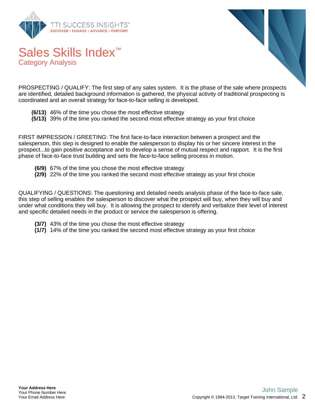

Sales Skills Index<sup>™</sup>

Category Analysis



PROSPECTING / QUALIFY: The first step of any sales system. It is the phase of the sale where prospects are identified, detailed background information is gathered, the physical activity of traditional prospecting is coordinated and an overall strategy for face-to-face selling is developed.

- **(6/13)** 46% of the time you chose the most effective strategy
- **(5/13)** 39% of the time you ranked the second most effective strategy as your first choice

FIRST IMPRESSION / GREETING: The first face-to-face interaction between a prospect and the salesperson, this step is designed to enable the salesperson to display his or her sincere interest in the prospect...to gain positive acceptance and to develop a sense of mutual respect and rapport. It is the first phase of face-to-face trust building and sets the face-to-face selling process in motion.

- **(6/9)** 67% of the time you chose the most effective strategy
- **(2/9)** 22% of the time you ranked the second most effective strategy as your first choice

QUALIFYING / QUESTIONS: The questioning and detailed needs analysis phase of the face-to-face sale, this step of selling enables the salesperson to discover what the prospect will buy, when they will buy and under what conditions they will buy. It is allowing the prospect to identify and verbalize their level of interest and specific detailed needs in the product or service the salesperson is offering.

- **(3/7)** 43% of the time you chose the most effective strategy
- **(1/7)** 14% of the time you ranked the second most effective strategy as your first choice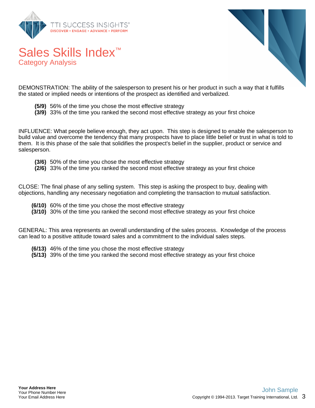

Sales Skills Index<sup>™</sup>

Category Analysis



DEMONSTRATION: The ability of the salesperson to present his or her product in such a way that it fulfills the stated or implied needs or intentions of the prospect as identified and verbalized.

- **(5/9)** 56% of the time you chose the most effective strategy
- **(3/9)** 33% of the time you ranked the second most effective strategy as your first choice

INFLUENCE: What people believe enough, they act upon. This step is designed to enable the salesperson to build value and overcome the tendency that many prospects have to place little belief or trust in what is told to them. It is this phase of the sale that solidifies the prospect's belief in the supplier, product or service and salesperson.

- **(3/6)** 50% of the time you chose the most effective strategy
- **(2/6)** 33% of the time you ranked the second most effective strategy as your first choice

CLOSE: The final phase of any selling system. This step is asking the prospect to buy, dealing with objections, handling any necessary negotiation and completing the transaction to mutual satisfaction.

- **(6/10)** 60% of the time you chose the most effective strategy
- **(3/10)** 30% of the time you ranked the second most effective strategy as your first choice

GENERAL: This area represents an overall understanding of the sales process. Knowledge of the process can lead to a positive attitude toward sales and a commitment to the individual sales steps.

- **(6/13)** 46% of the time you chose the most effective strategy
- **(5/13)** 39% of the time you ranked the second most effective strategy as your first choice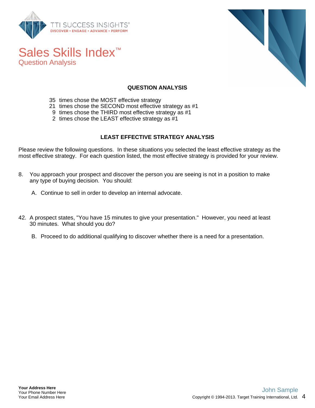

Sales Skills Index<sup>™</sup>

Question Analysis



#### **QUESTION ANALYSIS**

- 35 times chose the MOST effective strategy
- 21 times chose the SECOND most effective strategy as #1
- 9 times chose the THIRD most effective strategy as #1
- 2 times chose the LEAST effective strategy as #1

#### **LEAST EFFECTIVE STRATEGY ANALYSIS**

Please review the following questions. In these situations you selected the least effective strategy as the most effective strategy. For each question listed, the most effective strategy is provided for your review.

- 8. You approach your prospect and discover the person you are seeing is not in a position to make any type of buying decision. You should:
	- A. Continue to sell in order to develop an internal advocate.
- 42. A prospect states, "You have 15 minutes to give your presentation." However, you need at least 30 minutes. What should you do?
	- B. Proceed to do additional qualifying to discover whether there is a need for a presentation.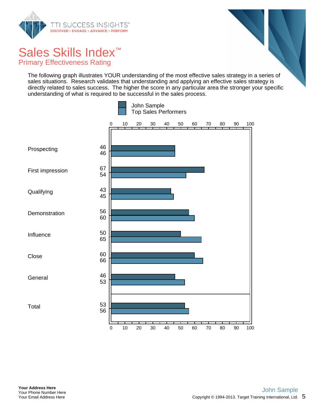

Sales Skills Index<sup>™</sup> Primary Effectiveness Rating

The following graph illustrates YOUR understanding of the most effective sales strategy in a series of sales situations. Research validates that understanding and applying an effective sales strategy is directly related to sales success. The higher the score in any particular area the stronger your specific understanding of what is required to be successful in the sales process.

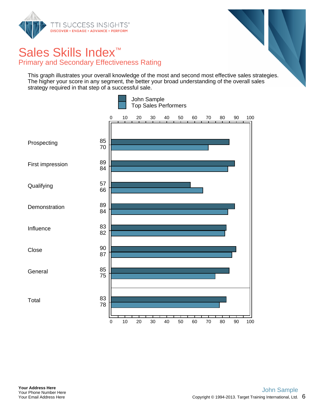

### Sales Skills Index<sup>™</sup> Primary and Secondary Effectiveness Rating

This graph illustrates your overall knowledge of the most and second most effective sales strategies. The higher your score in any segment, the better your broad understanding of the overall sales strategy required in that step of a successful sale.